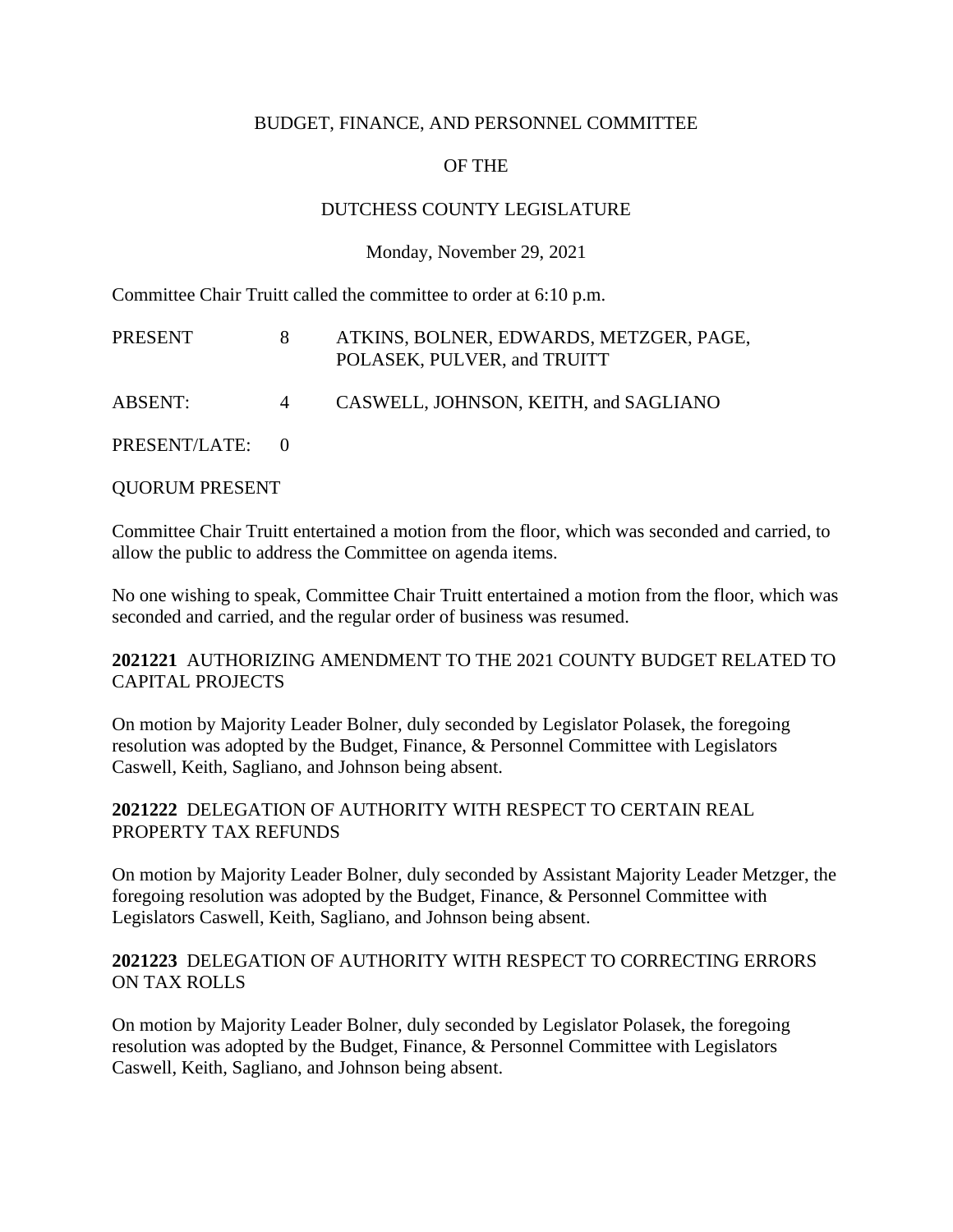# BUDGET, FINANCE, AND PERSONNEL COMMITTEE

# OF THE

# DUTCHESS COUNTY LEGISLATURE

# Monday, November 29, 2021

Committee Chair Truitt called the committee to order at 6:10 p.m.

| PRESENT         |                | ATKINS, BOLNER, EDWARDS, METZGER, PAGE,<br>POLASEK, PULVER, and TRUITT |
|-----------------|----------------|------------------------------------------------------------------------|
| ABSENT:         | $\overline{4}$ | CASWELL, JOHNSON, KEITH, and SAGLIANO                                  |
| PRESENT/LATE: 0 |                |                                                                        |

### QUORUM PRESENT

Committee Chair Truitt entertained a motion from the floor, which was seconded and carried, to allow the public to address the Committee on agenda items.

No one wishing to speak, Committee Chair Truitt entertained a motion from the floor, which was seconded and carried, and the regular order of business was resumed.

### **2021221** AUTHORIZING AMENDMENT TO THE 2021 COUNTY BUDGET RELATED TO CAPITAL PROJECTS

On motion by Majority Leader Bolner, duly seconded by Legislator Polasek, the foregoing resolution was adopted by the Budget, Finance, & Personnel Committee with Legislators Caswell, Keith, Sagliano, and Johnson being absent.

### **2021222** DELEGATION OF AUTHORITY WITH RESPECT TO CERTAIN REAL PROPERTY TAX REFUNDS

On motion by Majority Leader Bolner, duly seconded by Assistant Majority Leader Metzger, the foregoing resolution was adopted by the Budget, Finance, & Personnel Committee with Legislators Caswell, Keith, Sagliano, and Johnson being absent.

### **2021223** DELEGATION OF AUTHORITY WITH RESPECT TO CORRECTING ERRORS ON TAX ROLLS

On motion by Majority Leader Bolner, duly seconded by Legislator Polasek, the foregoing resolution was adopted by the Budget, Finance, & Personnel Committee with Legislators Caswell, Keith, Sagliano, and Johnson being absent.